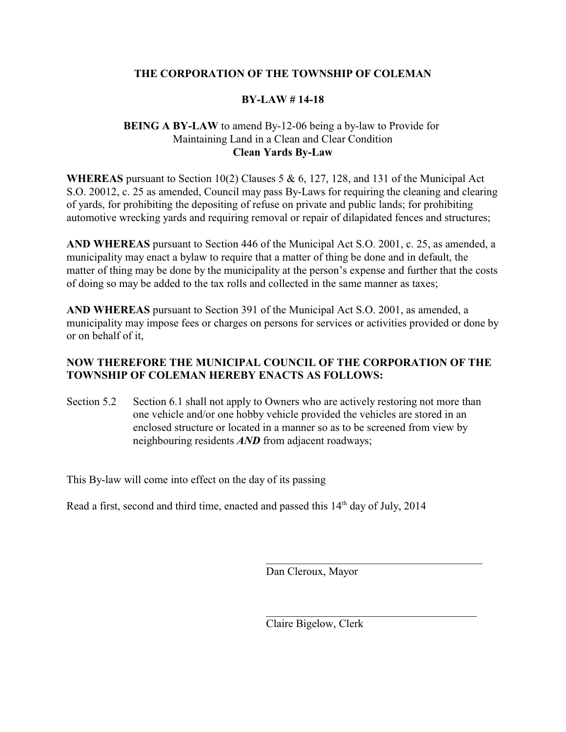# **THE CORPORATION OF THE TOWNSHIP OF COLEMAN**

## **BY-LAW # 14-18**

## **BEING A BY-LAW** to amend By-12-06 being a by-law to Provide for Maintaining Land in a Clean and Clear Condition **Clean Yards By-Law**

**WHEREAS** pursuant to Section 10(2) Clauses 5 & 6, 127, 128, and 131 of the Municipal Act S.O. 20012, c. 25 as amended, Council may pass By-Laws for requiring the cleaning and clearing of yards, for prohibiting the depositing of refuse on private and public lands; for prohibiting automotive wrecking yards and requiring removal or repair of dilapidated fences and structures;

**AND WHEREAS** pursuant to Section 446 of the Municipal Act S.O. 2001, c. 25, as amended, a municipality may enact a bylaw to require that a matter of thing be done and in default, the matter of thing may be done by the municipality at the person's expense and further that the costs of doing so may be added to the tax rolls and collected in the same manner as taxes;

**AND WHEREAS** pursuant to Section 391 of the Municipal Act S.O. 2001, as amended, a municipality may impose fees or charges on persons for services or activities provided or done by or on behalf of it,

# **NOW THEREFORE THE MUNICIPAL COUNCIL OF THE CORPORATION OF THE TOWNSHIP OF COLEMAN HEREBY ENACTS AS FOLLOWS:**

Section 5.2 Section 6.1 shall not apply to Owners who are actively restoring not more than one vehicle and/or one hobby vehicle provided the vehicles are stored in an enclosed structure or located in a manner so as to be screened from view by neighbouring residents *AND* from adjacent roadways;

This By-law will come into effect on the day of its passing

Read a first, second and third time, enacted and passed this  $14<sup>th</sup>$  day of July,  $2014$ 

Dan Cleroux, Mayor

\_\_\_\_\_\_\_\_\_\_\_\_\_\_\_\_\_\_\_\_\_\_\_\_\_\_\_\_\_\_\_\_\_\_\_\_\_\_\_

\_\_\_\_\_\_\_\_\_\_\_\_\_\_\_\_\_\_\_\_\_\_\_\_\_\_\_\_\_\_\_\_\_\_\_\_\_\_

Claire Bigelow, Clerk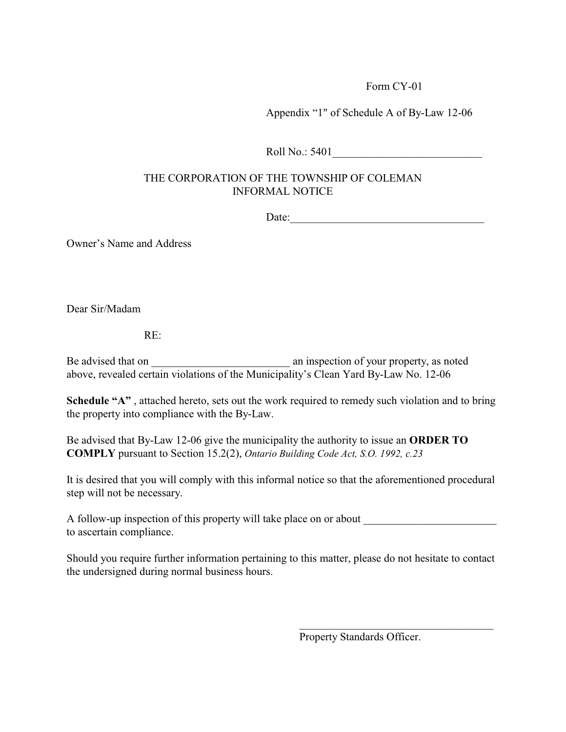Appendix "1" of Schedule A of By-Law 12-06

Roll No.: 5401

# THE CORPORATION OF THE TOWNSHIP OF COLEMAN INFORMAL NOTICE

Date:\_\_\_\_\_\_\_\_\_\_\_\_\_\_\_\_\_\_\_\_\_\_\_\_\_\_\_\_\_\_\_\_\_\_\_

Owner's Name and Address

Dear Sir/Madam

RE:

Be advised that on  $\Box$  an inspection of your property, as noted above, revealed certain violations of the Municipality's Clean Yard By-Law No. 12-06

**Schedule "A"**, attached hereto, sets out the work required to remedy such violation and to bring the property into compliance with the By-Law.

Be advised that By-Law 12-06 give the municipality the authority to issue an **ORDER TO COMPLY** pursuant to Section 15.2(2), *Ontario Building Code Act, S.O. 1992, c.23*

It is desired that you will comply with this informal notice so that the aforementioned procedural step will not be necessary.

A follow-up inspection of this property will take place on or about to ascertain compliance.

Should you require further information pertaining to this matter, please do not hesitate to contact the undersigned during normal business hours.

Property Standards Officer.

 $\mathcal{L}_\mathcal{L}$  , which is a set of the set of the set of the set of the set of the set of the set of the set of the set of the set of the set of the set of the set of the set of the set of the set of the set of the set of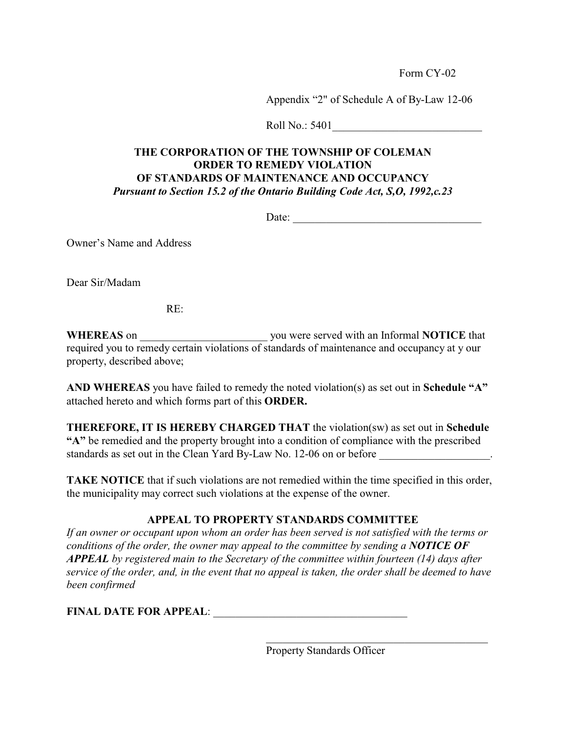Appendix "2" of Schedule A of By-Law 12-06

Roll No.: 5401

# **THE CORPORATION OF THE TOWNSHIP OF COLEMAN ORDER TO REMEDY VIOLATION OF STANDARDS OF MAINTENANCE AND OCCUPANCY** *Pursuant to Section 15.2 of the Ontario Building Code Act, S,O, 1992,c.23*

Date:

Owner's Name and Address

Dear Sir/Madam

RE:

**WHEREAS** on \_\_\_\_\_\_\_\_\_\_\_\_\_\_\_\_\_\_\_\_\_\_\_ you were served with an Informal **NOTICE** that required you to remedy certain violations of standards of maintenance and occupancy at y our property, described above;

**AND WHEREAS** you have failed to remedy the noted violation(s) as set out in **Schedule "A"** attached hereto and which forms part of this **ORDER.**

**THEREFORE, IT IS HEREBY CHARGED THAT** the violation(sw) as set out in **Schedule "A"** be remedied and the property brought into a condition of compliance with the prescribed standards as set out in the Clean Yard By-Law No. 12-06 on or before \_\_\_\_\_\_\_\_\_\_\_\_\_\_\_\_\_.

**TAKE NOTICE** that if such violations are not remedied within the time specified in this order, the municipality may correct such violations at the expense of the owner.

# **APPEAL TO PROPERTY STANDARDS COMMITTEE**

*If an owner or occupant upon whom an order has been served is not satisfied with the terms or conditions of the order, the owner may appeal to the committee by sending a NOTICE OF APPEAL by registered main to the Secretary of the committee within fourteen (14) days after service of the order, and, in the event that no appeal is taken, the order shall be deemed to have been confirmed*

FINAL DATE FOR APPEAL: **WE ALL THE SET OF ALL THE SET OF A PPEAL**:

Property Standards Officer

 $\overline{\mathcal{L}}$  , and the state of the state of the state of the state of the state of the state of the state of the state of the state of the state of the state of the state of the state of the state of the state of the stat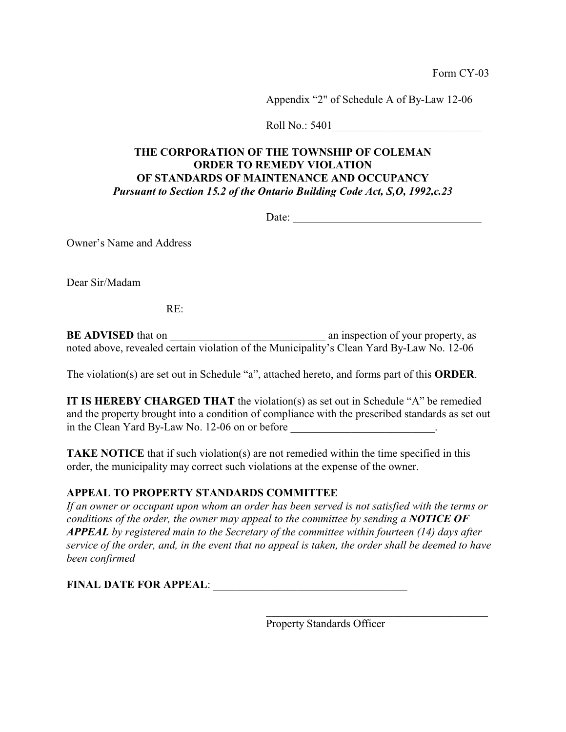Appendix "2" of Schedule A of By-Law 12-06

Roll No.: 5401

# **THE CORPORATION OF THE TOWNSHIP OF COLEMAN ORDER TO REMEDY VIOLATION OF STANDARDS OF MAINTENANCE AND OCCUPANCY** *Pursuant to Section 15.2 of the Ontario Building Code Act, S,O, 1992,c.23*

Date:

Owner's Name and Address

Dear Sir/Madam

RE:

**BE ADVISED** that on \_\_\_\_\_\_\_\_\_\_\_\_\_\_\_\_\_\_\_\_\_\_\_\_\_\_\_\_ an inspection of your property, as noted above, revealed certain violation of the Municipality's Clean Yard By-Law No. 12-06

The violation(s) are set out in Schedule "a", attached hereto, and forms part of this **ORDER**.

**IT IS HEREBY CHARGED THAT** the violation(s) as set out in Schedule "A" be remedied and the property brought into a condition of compliance with the prescribed standards as set out in the Clean Yard By-Law No. 12-06 on or before  $\cdot$ 

**TAKE NOTICE** that if such violation(s) are not remedied within the time specified in this order, the municipality may correct such violations at the expense of the owner.

# **APPEAL TO PROPERTY STANDARDS COMMITTEE**

*If an owner or occupant upon whom an order has been served is not satisfied with the terms or conditions of the order, the owner may appeal to the committee by sending a NOTICE OF APPEAL by registered main to the Secretary of the committee within fourteen (14) days after service of the order, and, in the event that no appeal is taken, the order shall be deemed to have been confirmed*

**FINAL DATE FOR APPEAL:** 

Property Standards Officer

 $\overline{\mathcal{L}}$  , and the state of the state of the state of the state of the state of the state of the state of the state of the state of the state of the state of the state of the state of the state of the state of the stat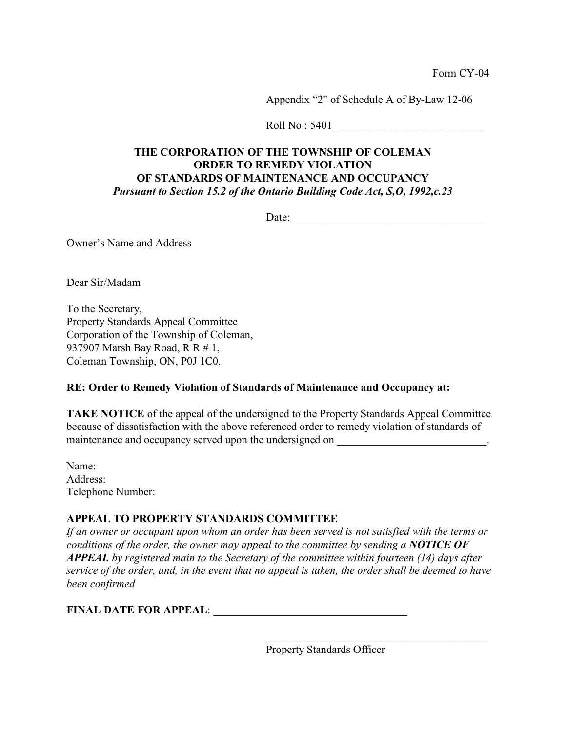Appendix "2" of Schedule A of By-Law 12-06

Roll No.: 5401\_\_\_\_\_\_\_\_\_\_\_\_\_\_\_\_\_\_\_\_\_\_\_\_\_\_\_

## **THE CORPORATION OF THE TOWNSHIP OF COLEMAN ORDER TO REMEDY VIOLATION OF STANDARDS OF MAINTENANCE AND OCCUPANCY** *Pursuant to Section 15.2 of the Ontario Building Code Act, S,O, 1992,c.23*

Date:

Owner's Name and Address

Dear Sir/Madam

To the Secretary, Property Standards Appeal Committee Corporation of the Township of Coleman, 937907 Marsh Bay Road, R R # 1, Coleman Township, ON, P0J 1C0.

#### **RE: Order to Remedy Violation of Standards of Maintenance and Occupancy at:**

**TAKE NOTICE** of the appeal of the undersigned to the Property Standards Appeal Committee because of dissatisfaction with the above referenced order to remedy violation of standards of maintenance and occupancy served upon the undersigned on \_\_\_\_\_\_\_\_\_\_\_\_\_\_\_\_\_\_\_\_\_\_\_\_.

Name: Address: Telephone Number:

### **APPEAL TO PROPERTY STANDARDS COMMITTEE**

*If an owner or occupant upon whom an order has been served is not satisfied with the terms or conditions of the order, the owner may appeal to the committee by sending a NOTICE OF APPEAL by registered main to the Secretary of the committee within fourteen (14) days after service of the order, and, in the event that no appeal is taken, the order shall be deemed to have been confirmed*

**FINAL DATE FOR APPEAL:** 

Property Standards Officer

\_\_\_\_\_\_\_\_\_\_\_\_\_\_\_\_\_\_\_\_\_\_\_\_\_\_\_\_\_\_\_\_\_\_\_\_\_\_\_\_